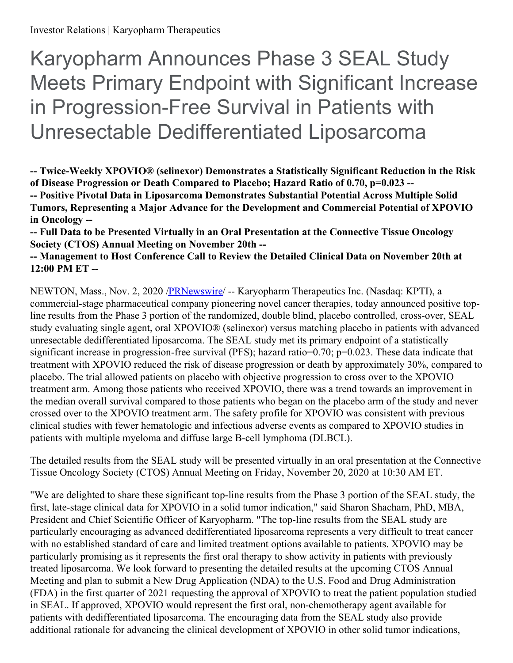Karyopharm Announces Phase 3 SEAL Study Meets Primary Endpoint with Significant Increase in Progression-Free Survival in Patients with Unresectable Dedifferentiated Liposarcoma

**-- Twice-Weekly XPOVIO® (selinexor) Demonstrates a Statistically Significant Reduction in the Risk of Disease Progression or Death Compared to Placebo; Hazard Ratio of 0.70, p=0.023 -- -- Positive Pivotal Data in Liposarcoma Demonstrates Substantial Potential Across Multiple Solid Tumors, Representing a Major Advance for the Development and Commercial Potential of XPOVIO in Oncology --**

**-- Full Data to be Presented Virtually in an Oral Presentation at the Connective Tissue Oncology Society (CTOS) Annual Meeting on November 20th --**

# **-- Management to Host Conference Call to Review the Detailed Clinical Data on November 20th at 12:00 PM ET --**

NEWTON, Mass., Nov. 2, 2020 [/PRNewswire](http://www.prnewswire.com/)/ -- Karyopharm Therapeutics Inc. (Nasdaq: KPTI), a commercial-stage pharmaceutical company pioneering novel cancer therapies, today announced positive topline results from the Phase 3 portion of the randomized, double blind, placebo controlled, cross-over, SEAL study evaluating single agent, oral XPOVIO® (selinexor) versus matching placebo in patients with advanced unresectable dedifferentiated liposarcoma. The SEAL study met its primary endpoint of a statistically significant increase in progression-free survival (PFS); hazard ratio=0.70; p=0.023. These data indicate that treatment with XPOVIO reduced the risk of disease progression or death by approximately 30%, compared to placebo. The trial allowed patients on placebo with objective progression to cross over to the XPOVIO treatment arm. Among those patients who received XPOVIO, there was a trend towards an improvement in the median overall survival compared to those patients who began on the placebo arm of the study and never crossed over to the XPOVIO treatment arm. The safety profile for XPOVIO was consistent with previous clinical studies with fewer hematologic and infectious adverse events as compared to XPOVIO studies in patients with multiple myeloma and diffuse large B-cell lymphoma (DLBCL).

The detailed results from the SEAL study will be presented virtually in an oral presentation at the Connective Tissue Oncology Society (CTOS) Annual Meeting on Friday, November 20, 2020 at 10:30 AM ET.

"We are delighted to share these significant top-line results from the Phase 3 portion of the SEAL study, the first, late-stage clinical data for XPOVIO in a solid tumor indication," said Sharon Shacham, PhD, MBA, President and Chief Scientific Officer of Karyopharm. "The top-line results from the SEAL study are particularly encouraging as advanced dedifferentiated liposarcoma represents a very difficult to treat cancer with no established standard of care and limited treatment options available to patients. XPOVIO may be particularly promising as it represents the first oral therapy to show activity in patients with previously treated liposarcoma. We look forward to presenting the detailed results at the upcoming CTOS Annual Meeting and plan to submit a New Drug Application (NDA) to the U.S. Food and Drug Administration (FDA) in the first quarter of 2021 requesting the approval of XPOVIO to treat the patient population studied in SEAL. If approved, XPOVIO would represent the first oral, non-chemotherapy agent available for patients with dedifferentiated liposarcoma. The encouraging data from the SEAL study also provide additional rationale for advancing the clinical development of XPOVIO in other solid tumor indications,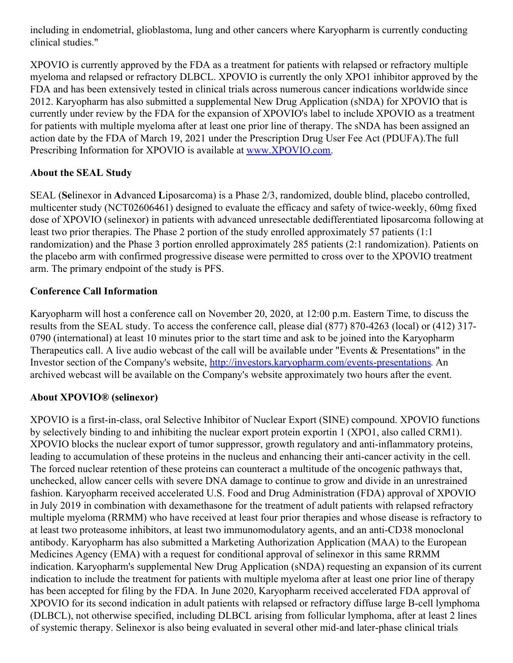including in endometrial, glioblastoma, lung and other cancers where Karyopharm is currently conducting clinical studies."

XPOVIO is currently approved by the FDA as a treatment for patients with relapsed or refractory multiple myeloma and relapsed or refractory DLBCL. XPOVIO is currently the only XPO1 inhibitor approved by the FDA and has been extensively tested in clinical trials across numerous cancer indications worldwide since 2012. Karyopharm has also submitted a supplemental New Drug Application (sNDA) for XPOVIO that is currently under review by the FDA for the expansion of XPOVIO's label to include XPOVIO as a treatment for patients with multiple myeloma after at least one prior line of therapy. The sNDA has been assigned an action date by the FDA of March 19, 2021 under the Prescription Drug User Fee Act (PDUFA).The full Prescribing Information for XPOVIO is available at [www.XPOVIO.com](https://c212.net/c/link/?t=0&l=en&o=2969337-1&h=2539938339&u=http%3A%2F%2Fwww.xpovio.com%2F&a=www.XPOVIO.com).

# **About the SEAL Study**

SEAL (**Se**linexor in **A**dvanced **L**iposarcoma) is a Phase 2/3, randomized, double blind, placebo controlled, multicenter study (NCT02606461) designed to evaluate the efficacy and safety of twice-weekly, 60mg fixed dose of XPOVIO (selinexor) in patients with advanced unresectable dedifferentiated liposarcoma following at least two prior therapies. The Phase 2 portion of the study enrolled approximately 57 patients (1:1 randomization) and the Phase 3 portion enrolled approximately 285 patients (2:1 randomization). Patients on the placebo arm with confirmed progressive disease were permitted to cross over to the XPOVIO treatment arm. The primary endpoint of the study is PFS.

# **Conference Call Information**

Karyopharm will host a conference call on November 20, 2020, at 12:00 p.m. Eastern Time, to discuss the results from the SEAL study. To access the conference call, please dial (877) 870-4263 (local) or (412) 317- 0790 (international) at least 10 minutes prior to the start time and ask to be joined into the Karyopharm Therapeutics call. A live audio webcast of the call will be available under "Events & Presentations" in the Investor section of the Company's website, <http://investors.karyopharm.com/events-presentations>. An archived webcast will be available on the Company's website approximately two hours after the event.

# **About XPOVIO® (selinexor)**

XPOVIO is a first-in-class, oral Selective Inhibitor of Nuclear Export (SINE) compound. XPOVIO functions by selectively binding to and inhibiting the nuclear export protein exportin 1 (XPO1, also called CRM1). XPOVIO blocks the nuclear export of tumor suppressor, growth regulatory and anti-inflammatory proteins, leading to accumulation of these proteins in the nucleus and enhancing their anti-cancer activity in the cell. The forced nuclear retention of these proteins can counteract a multitude of the oncogenic pathways that, unchecked, allow cancer cells with severe DNA damage to continue to grow and divide in an unrestrained fashion. Karyopharm received accelerated U.S. Food and Drug Administration (FDA) approval of XPOVIO in July 2019 in combination with dexamethasone for the treatment of adult patients with relapsed refractory multiple myeloma (RRMM) who have received at least four prior therapies and whose disease is refractory to at least two proteasome inhibitors, at least two immunomodulatory agents, and an anti-CD38 monoclonal antibody. Karyopharm has also submitted a Marketing Authorization Application (MAA) to the European Medicines Agency (EMA) with a request for conditional approval of selinexor in this same RRMM indication. Karyopharm's supplemental New Drug Application (sNDA) requesting an expansion of its current indication to include the treatment for patients with multiple myeloma after at least one prior line of therapy has been accepted for filing by the FDA. In June 2020, Karyopharm received accelerated FDA approval of XPOVIO for its second indication in adult patients with relapsed or refractory diffuse large B-cell lymphoma (DLBCL), not otherwise specified, including DLBCL arising from follicular lymphoma, after at least 2 lines of systemic therapy. Selinexor is also being evaluated in several other mid-and later-phase clinical trials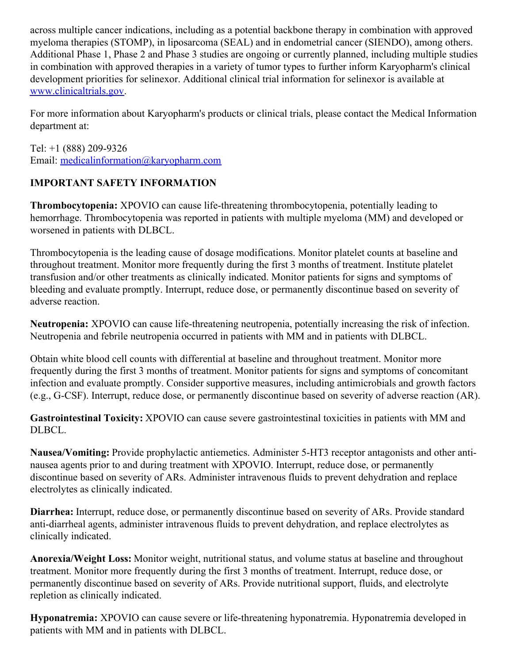across multiple cancer indications, including as a potential backbone therapy in combination with approved myeloma therapies (STOMP), in liposarcoma (SEAL) and in endometrial cancer (SIENDO), among others. Additional Phase 1, Phase 2 and Phase 3 studies are ongoing or currently planned, including multiple studies in combination with approved therapies in a variety of tumor types to further inform Karyopharm's clinical development priorities for selinexor. Additional clinical trial information for selinexor is available at [www.clinicaltrials.gov](https://c212.net/c/link/?t=0&l=en&o=2969337-1&h=970569693&u=http%3A%2F%2Fwww.clinicaltrials.gov%2F&a=www.clinicaltrials.gov).

For more information about Karyopharm's products or clinical trials, please contact the Medical Information department at:

Tel: +1 (888) 209-9326 Email: [medicalinformation@karyopharm.com](mailto:medicalinformation@karyopharm.com)

# **IMPORTANT SAFETY INFORMATION**

**Thrombocytopenia:** XPOVIO can cause life-threatening thrombocytopenia, potentially leading to hemorrhage. Thrombocytopenia was reported in patients with multiple myeloma (MM) and developed or worsened in patients with DLBCL.

Thrombocytopenia is the leading cause of dosage modifications. Monitor platelet counts at baseline and throughout treatment. Monitor more frequently during the first 3 months of treatment. Institute platelet transfusion and/or other treatments as clinically indicated. Monitor patients for signs and symptoms of bleeding and evaluate promptly. Interrupt, reduce dose, or permanently discontinue based on severity of adverse reaction.

**Neutropenia:** XPOVIO can cause life-threatening neutropenia, potentially increasing the risk of infection. Neutropenia and febrile neutropenia occurred in patients with MM and in patients with DLBCL.

Obtain white blood cell counts with differential at baseline and throughout treatment. Monitor more frequently during the first 3 months of treatment. Monitor patients for signs and symptoms of concomitant infection and evaluate promptly. Consider supportive measures, including antimicrobials and growth factors (e.g., G-CSF). Interrupt, reduce dose, or permanently discontinue based on severity of adverse reaction (AR).

**Gastrointestinal Toxicity:** XPOVIO can cause severe gastrointestinal toxicities in patients with MM and DLBCL.

**Nausea/Vomiting:** Provide prophylactic antiemetics. Administer 5-HT3 receptor antagonists and other antinausea agents prior to and during treatment with XPOVIO. Interrupt, reduce dose, or permanently discontinue based on severity of ARs. Administer intravenous fluids to prevent dehydration and replace electrolytes as clinically indicated.

**Diarrhea:** Interrupt, reduce dose, or permanently discontinue based on severity of ARs. Provide standard anti-diarrheal agents, administer intravenous fluids to prevent dehydration, and replace electrolytes as clinically indicated.

**Anorexia/Weight Loss:** Monitor weight, nutritional status, and volume status at baseline and throughout treatment. Monitor more frequently during the first 3 months of treatment. Interrupt, reduce dose, or permanently discontinue based on severity of ARs. Provide nutritional support, fluids, and electrolyte repletion as clinically indicated.

**Hyponatremia:** XPOVIO can cause severe or life-threatening hyponatremia. Hyponatremia developed in patients with MM and in patients with DLBCL.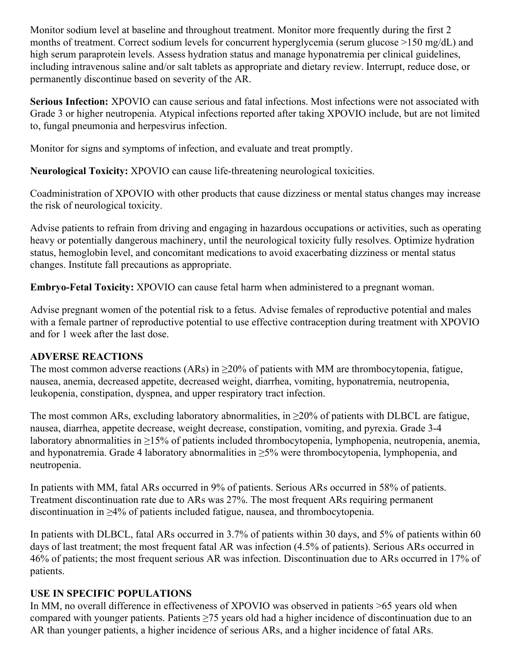Monitor sodium level at baseline and throughout treatment. Monitor more frequently during the first 2 months of treatment. Correct sodium levels for concurrent hyperglycemia (serum glucose >150 mg/dL) and high serum paraprotein levels. Assess hydration status and manage hyponatremia per clinical guidelines, including intravenous saline and/or salt tablets as appropriate and dietary review. Interrupt, reduce dose, or permanently discontinue based on severity of the AR.

**Serious Infection:** XPOVIO can cause serious and fatal infections. Most infections were not associated with Grade 3 or higher neutropenia. Atypical infections reported after taking XPOVIO include, but are not limited to, fungal pneumonia and herpesvirus infection.

Monitor for signs and symptoms of infection, and evaluate and treat promptly.

**Neurological Toxicity:** XPOVIO can cause life-threatening neurological toxicities.

Coadministration of XPOVIO with other products that cause dizziness or mental status changes may increase the risk of neurological toxicity.

Advise patients to refrain from driving and engaging in hazardous occupations or activities, such as operating heavy or potentially dangerous machinery, until the neurological toxicity fully resolves. Optimize hydration status, hemoglobin level, and concomitant medications to avoid exacerbating dizziness or mental status changes. Institute fall precautions as appropriate.

**Embryo-Fetal Toxicity:** XPOVIO can cause fetal harm when administered to a pregnant woman.

Advise pregnant women of the potential risk to a fetus. Advise females of reproductive potential and males with a female partner of reproductive potential to use effective contraception during treatment with XPOVIO and for 1 week after the last dose.

#### **ADVERSE REACTIONS**

The most common adverse reactions (ARs) in  $\geq$ 20% of patients with MM are thrombocytopenia, fatigue, nausea, anemia, decreased appetite, decreased weight, diarrhea, vomiting, hyponatremia, neutropenia, leukopenia, constipation, dyspnea, and upper respiratory tract infection.

The most common ARs, excluding laboratory abnormalities, in  $\geq$ 20% of patients with DLBCL are fatigue, nausea, diarrhea, appetite decrease, weight decrease, constipation, vomiting, and pyrexia. Grade 3-4 laboratory abnormalities in ≥15% of patients included thrombocytopenia, lymphopenia, neutropenia, anemia, and hyponatremia. Grade 4 laboratory abnormalities in ≥5% were thrombocytopenia, lymphopenia, and neutropenia.

In patients with MM, fatal ARs occurred in 9% of patients. Serious ARs occurred in 58% of patients. Treatment discontinuation rate due to ARs was 27%. The most frequent ARs requiring permanent discontinuation in ≥4% of patients included fatigue, nausea, and thrombocytopenia.

In patients with DLBCL, fatal ARs occurred in 3.7% of patients within 30 days, and 5% of patients within 60 days of last treatment; the most frequent fatal AR was infection (4.5% of patients). Serious ARs occurred in 46% of patients; the most frequent serious AR was infection. Discontinuation due to ARs occurred in 17% of patients.

#### **USE IN SPECIFIC POPULATIONS**

In MM, no overall difference in effectiveness of XPOVIO was observed in patients >65 years old when compared with younger patients. Patients ≥75 years old had a higher incidence of discontinuation due to an AR than younger patients, a higher incidence of serious ARs, and a higher incidence of fatal ARs.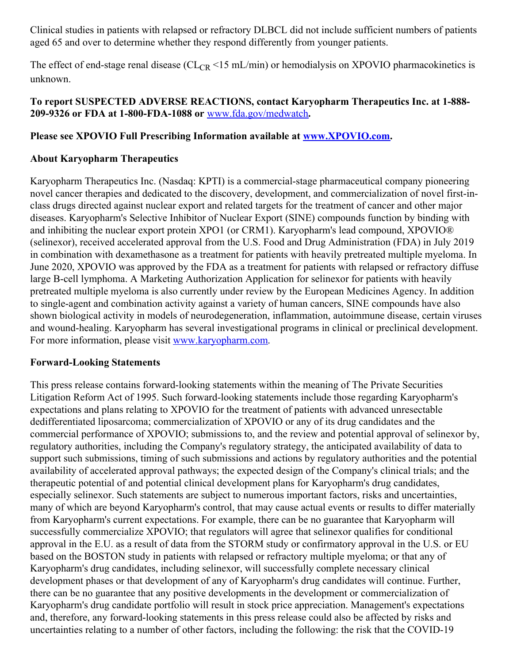Clinical studies in patients with relapsed or refractory DLBCL did not include sufficient numbers of patients aged 65 and over to determine whether they respond differently from younger patients.

The effect of end-stage renal disease ( $CL_{CR}$  <15 mL/min) or hemodialysis on XPOVIO pharmacokinetics is unknown.

## **To report SUSPECTED ADVERSE REACTIONS, contact Karyopharm Therapeutics Inc. at 1-888- 209-9326 or FDA at 1-800-FDA-1088 or** [www.fda.gov/medwatch](https://c212.net/c/link/?t=0&l=en&o=2969337-1&h=1527553927&u=https%3A%2F%2Fc212.net%2Fc%2Flink%2F%3Ft%3D0%26l%3Den%26o%3D2875172-1%26h%3D1477507959%26u%3Dhttp%253A%252F%252Fwww.fda.gov%252Fmedwatch%26a%3Dwww.fda.gov%252Fmedwatch&a=www.fda.gov%2Fmedwatch)**.**

## **Please see XPOVIO Full Prescribing Information available at [www.XPOVIO.com](https://c212.net/c/link/?t=0&l=en&o=2969337-1&h=2436745285&u=https%3A%2F%2Fc212.net%2Fc%2Flink%2F%3Ft%3D0%26l%3Den%26o%3D2875172-1%26h%3D3088030465%26u%3Dhttp%253A%252F%252Fwww.xpovio.com%252F%26a%3Dwww.XPOVIO.com&a=www.XPOVIO.com).**

## **About Karyopharm Therapeutics**

Karyopharm Therapeutics Inc. (Nasdaq: KPTI) is a commercial-stage pharmaceutical company pioneering novel cancer therapies and dedicated to the discovery, development, and commercialization of novel first-inclass drugs directed against nuclear export and related targets for the treatment of cancer and other major diseases. Karyopharm's Selective Inhibitor of Nuclear Export (SINE) compounds function by binding with and inhibiting the nuclear export protein XPO1 (or CRM1). Karyopharm's lead compound, XPOVIO® (selinexor), received accelerated approval from the U.S. Food and Drug Administration (FDA) in July 2019 in combination with dexamethasone as a treatment for patients with heavily pretreated multiple myeloma. In June 2020, XPOVIO was approved by the FDA as a treatment for patients with relapsed or refractory diffuse large B-cell lymphoma. A Marketing Authorization Application for selinexor for patients with heavily pretreated multiple myeloma is also currently under review by the European Medicines Agency. In addition to single-agent and combination activity against a variety of human cancers, SINE compounds have also shown biological activity in models of neurodegeneration, inflammation, autoimmune disease, certain viruses and wound-healing. Karyopharm has several investigational programs in clinical or preclinical development. For more information, please visit [www.karyopharm.com](https://c212.net/c/link/?t=0&l=en&o=2969337-1&h=487516143&u=http%3A%2F%2Fwww.karyopharm.com%2F&a=www.karyopharm.com).

#### **Forward-Looking Statements**

This press release contains forward-looking statements within the meaning of The Private Securities Litigation Reform Act of 1995. Such forward-looking statements include those regarding Karyopharm's expectations and plans relating to XPOVIO for the treatment of patients with advanced unresectable dedifferentiated liposarcoma; commercialization of XPOVIO or any of its drug candidates and the commercial performance of XPOVIO; submissions to, and the review and potential approval of selinexor by, regulatory authorities, including the Company's regulatory strategy, the anticipated availability of data to support such submissions, timing of such submissions and actions by regulatory authorities and the potential availability of accelerated approval pathways; the expected design of the Company's clinical trials; and the therapeutic potential of and potential clinical development plans for Karyopharm's drug candidates, especially selinexor. Such statements are subject to numerous important factors, risks and uncertainties, many of which are beyond Karyopharm's control, that may cause actual events or results to differ materially from Karyopharm's current expectations. For example, there can be no guarantee that Karyopharm will successfully commercialize XPOVIO; that regulators will agree that selinexor qualifies for conditional approval in the E.U. as a result of data from the STORM study or confirmatory approval in the U.S. or EU based on the BOSTON study in patients with relapsed or refractory multiple myeloma; or that any of Karyopharm's drug candidates, including selinexor, will successfully complete necessary clinical development phases or that development of any of Karyopharm's drug candidates will continue. Further, there can be no guarantee that any positive developments in the development or commercialization of Karyopharm's drug candidate portfolio will result in stock price appreciation. Management's expectations and, therefore, any forward-looking statements in this press release could also be affected by risks and uncertainties relating to a number of other factors, including the following: the risk that the COVID-19